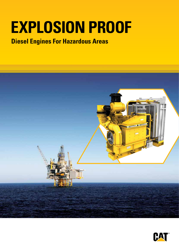# **EXPLOSION PROOF**

## **Diesel Engines For Hazardous Areas**



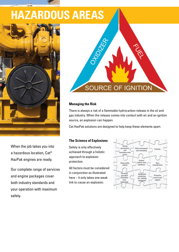## **HAZARDOUS AREAS**



When the job takes you into a hazardous location, Cat® HazPak engines are ready.

Our complete range of services and engine packages cover both industry standards and your operation with maximum safety.



#### **Managing the Risk**

There is always a risk of a flammable hydrocarbon release in the oil and gas industry. When the release comes into contact with air and an ignition source, an explosion can happen.

Cat HazPak solutions are designed to help keep these elements apart.

#### **The Science of Explosions**

Safety is only effectively achieved through a holistic approach to explosion protection.

All factors must be considered in conjunction as illustrated here – it only takes one weak link to cause an explosion.

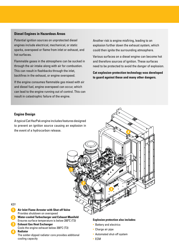#### **Diesel Engines in Hazardous Areas**

Potential ignition sources on unprotected diesel engines include electrical, mechanical, or static sparks, overspeed or flame from inlet or exhaust, and hot surfaces.

Flammable gases in the atmosphere can be sucked in through the air intake along with air for combustion. This can result in flashbacks through the inlet, backfires in the exhaust, or engine overspeed.

If the engine consumes flammable gas mixed with air and diesel fuel, engine overspeed can occur, which can lead to the engine running out of control. This can result in catastrophic failure of the engine.

Another risk is engine misfiring, leading to an explosion further down the exhaust system, which could then ignite the surrounding atmosphere.

Various surfaces on a diesel engine can become hot and therefore sources of ignition. These surfaces need to be protected to avoid the danger of explosion.

**Cat explosion-protection technology was developed to guard against these and many other dangers.**

#### **Engine Design**

A typical Cat HazPak engine includes features designed to prevent an ignition source causing an explosion in the event of a hydrocarbon release.



#### KEY

- **Air Inlet Flame Arrester with Shut-off Valve** Provides shutdown on overspeed
- **Water-cooled Turbocharger and Exhaust Manifold** Ensures surface temperature is below  $200^{\circ}$ C (T3)

#### **Exhaust Gas Heat Exchanger**

Cools the engine exhaust below  $200^{\circ}$ C (T3) **Radiator**

The solder-dipped radiator core provides additional cooling capacity

#### **Explosion protection also includes:**

- Battery and electrics
- Charge air pipe
- Automated shut-off system
- ECM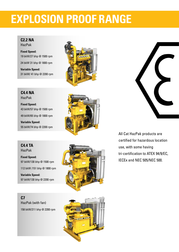## **EXPLOSION PROOF RANGE**

#### **C2.2 NA**

HazPak

**Fixed Speed:**  19 bkW/27 bhp @ 1500 rpm

24 bkW 31 bhp @ 1800 rpm

**Variable Speed:**  31 bkW/ 41 bhp @ 2200 rpm



**C4.4 NA** HazPak

**Fixed Speed:**  43 bkW/57 bhp @ 1500 rpm

49 bkW/65 bhp @ 1800 rpm

**Variable Speed:**  55 bkW/74 bhp @ 2200 rpm



**C4.4 TA** HazPak

**Fixed Speed:**  97 bkW/130 bhp @ 1500 rpm

112 bkW /151 bhp @ 1800 rpm

**Variable Speed:**  97 bkW/130 bhp @ 2200 rpm



**C7** HazPak (with fan) 158 bkW/211 bhp @ 2200 rpm





All Cat HazPak products are certified for hazardous location use, with some having tri-certification to ATEX 94/9/EC, IECEx and NEC 505/NEC 500.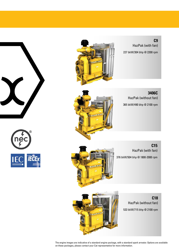





**C9**  HazPak (with fan) 227 bkW/304 bhp @ 2200 rpm

**3406C** HazPak (without fan) 365 bkW/490 bhp @ 2100 rpm

HazPak (with fan) 376 bkW/504 bhp @ 1800-2000 rpm

**C15**





**C18** HazPak (without fan) 533 bkW/715 bhp @ 2100 rpm

The engine images are indicative of a standard engine package, with a standard spark arrestor. Options are available on these packages, please contact your Cat representative for more information.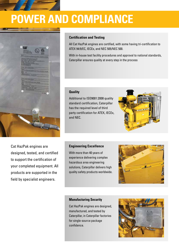

## **POWER AND COMPLIANCE**



#### **Certification and Testing**

All Cat HazPak engines are certified, with some having tri-certification to ATEX 94/9/EC, IECEx, and NEC 505/NEC 500.

With in-house test facility procedures and approval to national standards, Caterpillar ensures quality at every step in the process

#### **Quality**

Additional to ISO9001:2008 quality standard certification, Caterpillar has the required level of third party certification for ATEX, IECEx, and NEC.



Cat HazPak engines are designed, tested, and certified to support the certification of your completed equipment. All products are supported in the field by specialist engineers.

#### **Engineering Excellence**

With more than 40 years of experience delivering complex hazardous area engineering solutions, Caterpillar delivers high quality safety products worldwide.



#### **Manufacturing Security**

Cat HazPak engines are designed, manufactured, and tested by Caterpillar, in Caterpillar factories for single-source package confidence.

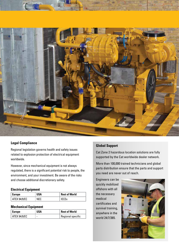

#### **Legal Compliance**

Regional legislation governs health and safety issues related to explosion protection of electrical equipment worldwide.

However, since mechanical equipment is not always regulated, there is a significant potential risk to people, the environment, and your investment. Be aware of the risks and choose additional discretionary safety.

#### **Electrical Equipment**

| <b>Europe</b>       | USA | <b>Rest of World</b> |
|---------------------|-----|----------------------|
| <b>ATEX 94/9/EC</b> | NEC | <b>IECEx</b>         |

#### **Mechanical Equipment**

| <b>Europe</b> | USA                      | <b>Rest of World</b> |
|---------------|--------------------------|----------------------|
| ATEX 94/9/EC  | $\overline{\phantom{0}}$ | Regional specific    |

#### **Global Support**

Cat Zone 2 hazardous location solutions are fully supported by the Cat worldwide dealer network.

More than 100,000 trained technicians and global parts distribution ensure that the parts and support you need are never out of reach.

Engineers can be quickly mobilized offshore with all the necessary medical certificates and survival training, anywhere in the world 24/7/365.